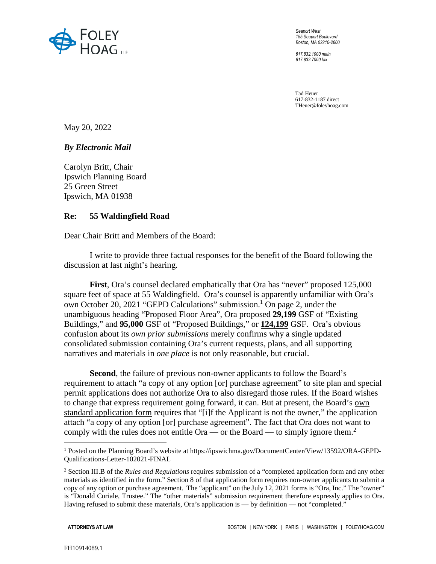

*Seaport West 155 Seaport Boulevard Boston, MA 02210-2600* 

*617.832.1000 main 617.832.7000 fax* 

Tad Heuer 617-832-1187 direct THeuer@foleyhoag.com

May 20, 2022

*By Electronic Mail* 

Carolyn Britt, Chair Ipswich Planning Board 25 Green Street Ipswich, MA 01938

## **Re: 55 Waldingfield Road**

Dear Chair Britt and Members of the Board:

I write to provide three factual responses for the benefit of the Board following the discussion at last night's hearing.

**First**, Ora's counsel declared emphatically that Ora has "never" proposed 125,000 square feet of space at 55 Waldingfield. Ora's counsel is apparently unfamiliar with Ora's own October 20, 2021 "GEPD Calculations" submission.<sup>1</sup> On page 2, under the unambiguous heading "Proposed Floor Area", Ora proposed **29,199** GSF of "Existing Buildings," and **95,000** GSF of "Proposed Buildings," or **124,199** GSF. Ora's obvious confusion about its *own prior submissions* merely confirms why a single updated consolidated submission containing Ora's current requests, plans, and all supporting narratives and materials in *one place* is not only reasonable, but crucial.

**Second**, the failure of previous non-owner applicants to follow the Board's requirement to attach "a copy of any option [or] purchase agreement" to site plan and special permit applications does not authorize Ora to also disregard those rules. If the Board wishes to change that express requirement going forward, it can. But at present, the Board's own standard application form requires that "[i]f the Applicant is not the owner," the application attach "a copy of any option [or] purchase agreement". The fact that Ora does not want to comply with the rules does not entitle Ora — or the Board — to simply ignore them.<sup>2</sup>

 $\overline{a}$ 

<sup>1</sup> Posted on the Planning Board's website at https://ipswichma.gov/DocumentCenter/View/13592/ORA-GEPD-Qualifications-Letter-102021-FINAL

<sup>2</sup> Section III.B of the *Rules and Regulations* requires submission of a "completed application form and any other materials as identified in the form." Section 8 of that application form requires non-owner applicants to submit a copy of any option or purchase agreement. The "applicant" on the July 12, 2021 forms is "Ora, Inc." The "owner" is "Donald Curiale, Trustee." The "other materials" submission requirement therefore expressly applies to Ora. Having refused to submit these materials, Ora's application is — by definition — not "completed."